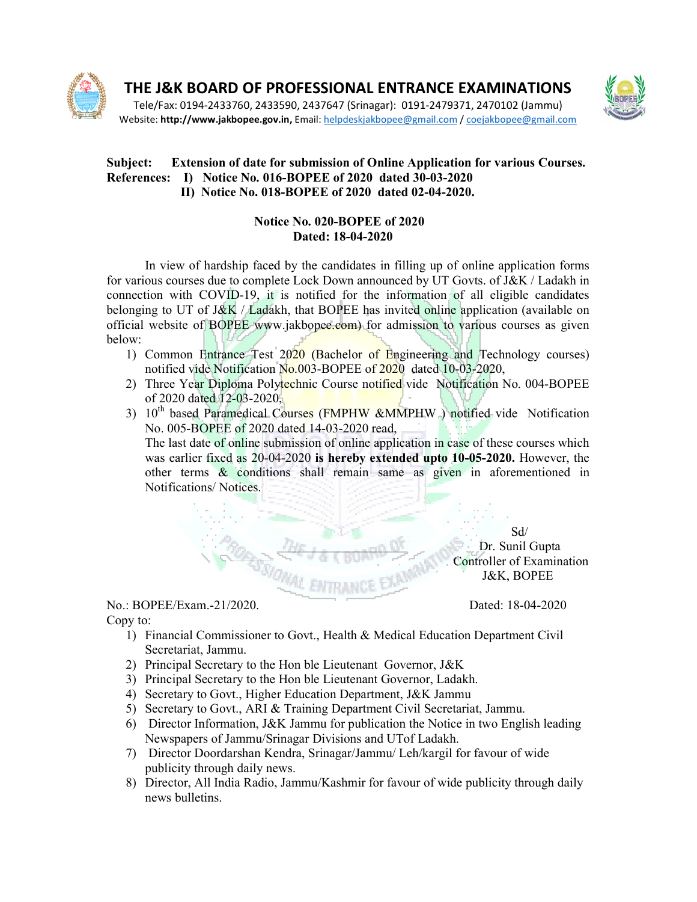

THE J&K BOARD OF PROFESSIONAL ENTRANCE EXAMINATIONS  $\blacksquare$ 

Tele/Fax: 0194-2433760, 2433590, 2437647 (Srinagar): 0191 2433760, 0191-2479371, 2470102 (Jammu) 2479371, Website: http://www.jakbopee.gov.in, Email: helpdeskjakbopee@gmail.com / coejakbopee@gmail.com and and the second

## Subject: Extension of date for submission of Online Application for various Courses. References: I) Notice No. 016-BOPEE of 2020 dated 30-03-2020 II) Notice No. 018-BOPEE of 2020 dated 02-04-2020.

## **Notice No. 020-BOPEE of 2020** Dated: 18-04-2020

In view of hardship faced by the candidates in filling up of online application forms In view of hardship faced by the candidates in filling up of online application forms<br>for various courses due to complete Lock Down announced by UT Govts. of J&K / Ladakh in connection with COVID-19, it is notified for the information of all eligible candidates belonging to UT of J&K / Ladakh, that BOPEE has invited online application (available on official website of BOPEE www.jakbopee.com) for admission to various courses as given below:

- 1) Common Entrance Test 2020 (Bachelor of Engineering and Technology courses) notified vide Notification No.003-BOPEE of 2020 dated 10-03-2020, ) for admission to various courses as given<br>
or of Engineering and Technology courses)<br>
E of 2020 dated 10-03-2020,<br>
being the Motification No. 004-BOPEE
- 2) Three Year Diploma Polytechnic Course notified vide Notification No. 004-BOPEE of 2020 dated 12-03-2020,
- of 2020 dated 12-03-2020, and the state of the state of 2020 dated 12-03-2020, and the Motion of the Notification No. 005-BOPEE of 2020 dated 14-03-2020 read, **IPHW &MMPHW** ) notified vide Notification<br>-2020 read,<br>online application in case of these courses which

The last date of online submission of online application in case of these courses which was earlier fixed as 20-04-2020 is hereby extended upto 10-05-2020. However, the other terms & conditions shall remain same as given in aforementioned in Notifications/Notices. Notifications/ Notices.

 Dr. Sunil Gupta Controller of Examination J&K, BOPEE er terms & conditions shall remain same as given in aforementioned in<br>tifications/Notices.<br> $M_E$ <br> $M_E$  & CBOARD OF BAND Dr. Sunil Gupta<br>Dr. Sunil Gupta<br>Controller of Examination<br> $3\&K$ , BOPEE<br>EE/Exam.-21/2020.<br>Dated: 18-04-

**PROPERTY THE J & K B**<br>No.: BOPEE/Exam.-21/2020. Copy to:

Dated: 18-04-2020

- 1) Financial Commissioner to Govt., Health & Medical Education Department Civil<br>Secretariat, Jammu.<br>2) Principal Secretary to the Hon ble Lieutenant Governor, J&K Secretariat, Jammu. 1) Financial Commissioner to Govt., Health & Medical Education Department Civil<br>
Secretariat, Jammu.<br>
2) Principal Secretary to the Hon ble Lieutenant Governor, J&K<br>
3) Principal Secretary to the Hon ble Lieutenant Governo
- 2) Principal Secretary to the Hon ble Lieutenant Governor, J&K
- 3) Principal Secretary to the Hon ble Lieutenant Governor, Ladakh.
- 4) Secretary to Govt., Higher Education Department, J&K Jammu
- 5) Secretary to Govt., ARI & Training Department Civil Secretariat, Jammu.
- Newspapers of Jammu/Srinagar Divisions and UTof Ladakh.
- Newspapers of Jammu/Srinagar Divisions and UTof Ladakh.<br>
7) Director Doordarshan Kendra, Srinagar/Jammu/ Leh/kargil for favour of wide publicity through daily news.
- publicity through daily news.<br>8) Director, All India Radio, Jammu/Kashmir for favour of wide publicity through daily news bulletins.